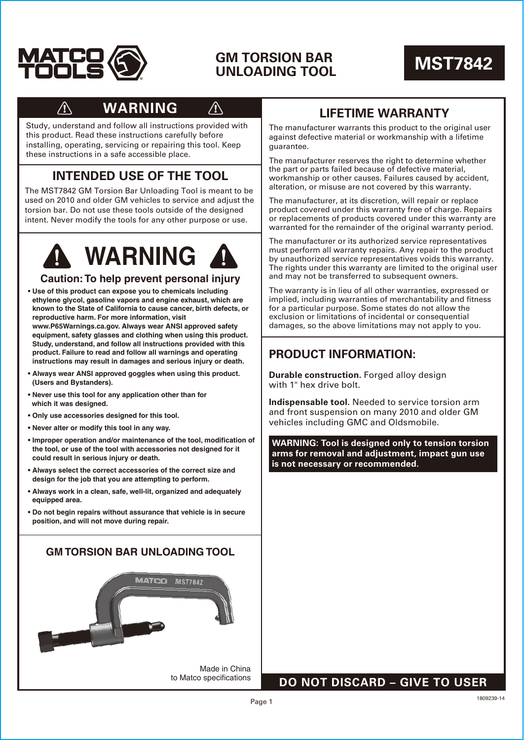

## **GM TORSION BAR UNLOADING TOOL MST7842**

# **WARNING**

Study, understand and follow all instructions provided with this product. Read these instructions carefully before installing, operating, servicing or repairing this tool. Keep these instructions in a safe accessible place.

## **INTENDED USE OF THE TOOL**

The MST7842 GM Torsion Bar Unloading Tool is meant to be used on 2010 and older GM vehicles to service and adjust the torsion bar. Do not use these tools outside of the designed intent. Never modify the tools for any other purpose or use.



#### **Caution: To help prevent personal injury**

- **Use of this product can expose you to chemicals including ethylene glycol, gasoline vapors and engine exhaust, which are known to the State of California to cause cancer, birth defects, or reproductive harm. For more information, visit www.P65Warnings.ca.gov. Always wear ANSI approved safety equipment, safety glasses and clothing when using this product. Study, understand, and follow all instructions provided with this product. Failure to read and follow all warnings and operating instructions may result in damages and serious injury or death.**
- **Always wear ANSI approved goggles when using this product. (Users and Bystanders).**
- **Never use this tool for any application other than for which it was designed.**
- **Only use accessories designed for this tool.**
- **Never alter or modify this tool in any way.**
- **Improper operation and/or maintenance of the tool, modification of the tool, or use of the tool with accessories not designed for it could result in serious injury or death.**
- **Always select the correct accessories of the correct size and design for the job that you are attempting to perform.**
- **Always work in a clean, safe, well-lit, organized and adequately equipped area.**
- **Do not begin repairs without assurance that vehicle is in secure position, and will not move during repair.**



## **LIFETIME WARRANTY**

The manufacturer warrants this product to the original user against defective material or workmanship with a lifetime guarantee.

The manufacturer reserves the right to determine whether the part or parts failed because of defective material, workmanship or other causes. Failures caused by accident, alteration, or misuse are not covered by this warranty.

The manufacturer, at its discretion, will repair or replace product covered under this warranty free of charge. Repairs or replacements of products covered under this warranty are warranted for the remainder of the original warranty period.

The manufacturer or its authorized service representatives must perform all warranty repairs. Any repair to the product by unauthorized service representatives voids this warranty. The rights under this warranty are limited to the original user and may not be transferred to subsequent owners.

The warranty is in lieu of all other warranties, expressed or implied, including warranties of merchantability and fitness for a particular purpose. Some states do not allow the exclusion or limitations of incidental or consequential damages, so the above limitations may not apply to you.

### **PRODUCT INFORMATION:**

**Durable construction.** Forged alloy design with 1" hex drive bolt.

**Indispensable tool.** Needed to service torsion arm and front suspension on many 2010 and older GM vehicles including GMC and Oldsmobile.

**WARNING: Tool is designed only to tension torsion arms for removal and adjustment, impact gun use is not necessary or recommended.** 

### **DO NOT DISCARD – GIVE TO USER**